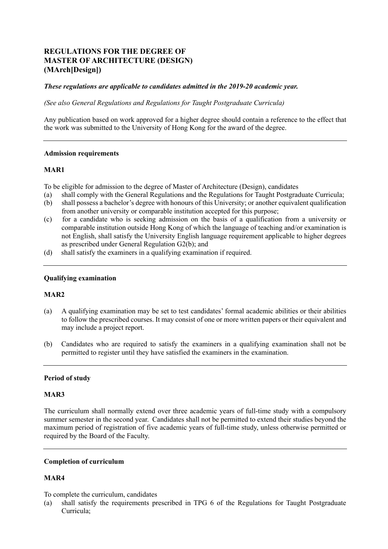# **REGULATIONS FOR THE DEGREE OF MASTER OF ARCHITECTURE (DESIGN) (MArch[Design])**

# *These regulations are applicable to candidates admitted in the 2019-20 academic year.*

*(See also General Regulations and Regulations for Taught Postgraduate Curricula)* 

 Any publication based on work approved for a higher degree should contain a reference to the effect that the work was submitted to the University of Hong Kong for the award of the degree.

### **Admission requirements**

# **MAR1**

To be eligible for admission to the degree of Master of Architecture (Design), candidates

- (a) shall comply with the General Regulations and the Regulations for Taught Postgraduate Curricula;
- $(b)$ shall possess a bachelor's degree with honours of this University; or another equivalent qualification from another university or comparable institution accepted for this purpose;
- not English, shall satisfy the University English language requirement applicable to higher degrees as prescribed under General Regulation G2(b); and (c) for a candidate who is seeking admission on the basis of a qualification from a university or comparable institution outside Hong Kong of which the language of teaching and/or examination is
- $(d)$ shall satisfy the examiners in a qualifying examination if required.

### **Qualifying examination**

### **MAR2**

- (a) A qualifying examination may be set to test candidates' formal academic abilities or their abilities to follow the prescribed courses. It may consist of one or more written papers or their equivalent and may include a project report.
- $(b)$  permitted to register until they have satisfied the examiners in the examination. Candidates who are required to satisfy the examiners in a qualifying examination shall not be

# **Period of study**

### **MAR3**

 The curriculum shall normally extend over three academic years of full-time study with a compulsory summer semester in the second year. Candidates shall not be permitted to extend their studies beyond the maximum period of registration of five academic years of full-time study, unless otherwise permitted or required by the Board of the Faculty.

### **Completion of curriculum**

# **MAR4**

To complete the curriculum, candidates

 (a) shall satisfy the requirements prescribed in TPG 6 of the Regulations for Taught Postgraduate Curricula;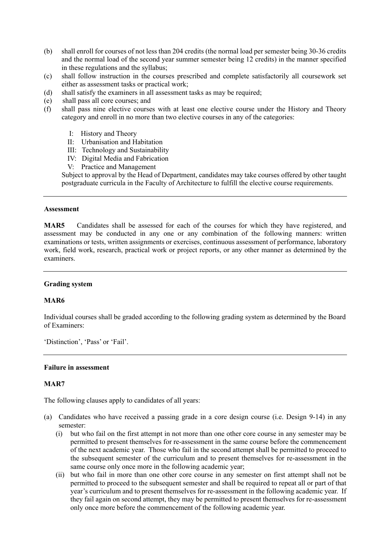- (b) shall enroll for courses of not less than 204 credits (the normal load per semester being 30-36 credits and the normal load of the second year summer semester being 12 credits) in the manner specified in these regulations and the syllabus;
- (c) shall follow instruction in the courses prescribed and complete satisfactorily all coursework set either as assessment tasks or practical work;
- (d) shall satisfy the examiners in all assessment tasks as may be required;
- (e) shall pass all core courses; and
- (f) shall pass nine elective courses with at least one elective course under the History and Theory category and enroll in no more than two elective courses in any of the categories:
	- I: History and Theory
	- II: Urbanisation and Habitation
	- III: Technology and Sustainability
	- IV: Digital Media and Fabrication
	- V: Practice and Management

 Subject to approval by the Head of Department, candidates may take courses offered by other taught postgraduate curricula in the Faculty of Architecture to fulfill the elective course requirements.

### **Assessment**

MAR<sub>5</sub> examinations or tests, written assignments or exercises, continuous assessment of performance, laboratory work, field work, research, practical work or project reports, or any other manner as determined by the Candidates shall be assessed for each of the courses for which they have registered, and assessment may be conducted in any one or any combination of the following manners: written examiners.

# **Grading system**

# **MAR6**

 Individual courses shall be graded according to the following grading system as determined by the Board of Examiners:

'Distinction', 'Pass' or 'Fail'.

### **Failure in assessment**

# **MAR7**

The following clauses apply to candidates of all years:

- (a) Candidates who have received a passing grade in a core design course (i.e. Design 9-14) in any semester:
	- (i) but who fail on the first attempt in not more than one other core course in any semester may be permitted to present themselves for re-assessment in the same course before the commencement of the next academic year. Those who fail in the second attempt shall be permitted to proceed to the subsequent semester of the curriculum and to present themselves for re-assessment in the same course only once more in the following academic year;
	- (ii) but who fail in more than one other core course in any semester on first attempt shall not be permitted to proceed to the subsequent semester and shall be required to repeat all or part of that year's curriculum and to present themselves for re-assessment in the following academic year. If they fail again on second attempt, they may be permitted to present themselves for re-assessment only once more before the commencement of the following academic year.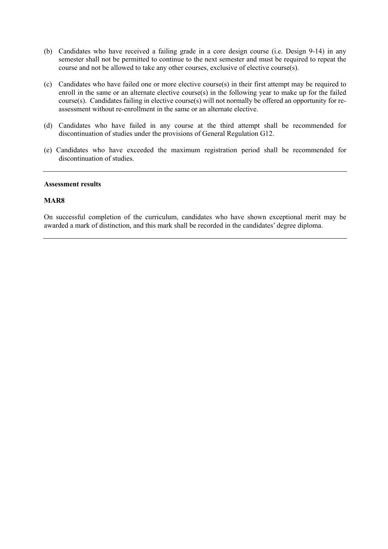- (b) Candidates who have received a failing grade in a core design course (i.e. Design 9-14) in any semester shall not be permitted to continue to the next semester and must be required to repeat the course and not be allowed to take any other courses, exclusive of elective course(s).
- (c) Candidates who have failed one or more elective course(s) in their first attempt may be required to enroll in the same or an alternate elective course(s) in the following year to make up for the failed course(s). Candidates failing in elective course(s) will not normally be offered an opportunity for re-assessment without re-enrollment in the same or an alternate elective.
- (d) Candidates who have failed in any course at the third attempt shall be recommended for discontinuation of studies under the provisions of General Regulation G12.
- (e) Candidates who have exceeded the maximum registration period shall be recommended for discontinuation of studies.

### **Assessment results**

### **MAR8**

 On successful completion of the curriculum, candidates who have shown exceptional merit may be awarded a mark of distinction, and this mark shall be recorded in the candidates' degree diploma.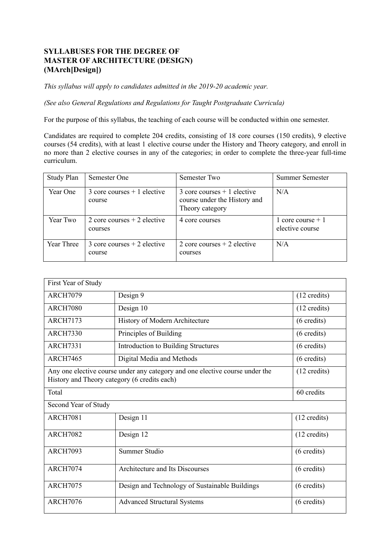# **SYLLABUSES FOR THE DEGREE OF MASTER OF ARCHITECTURE (DESIGN) (MArch[Design])**

 *This syllabus will apply to candidates admitted in the 2019-20 academic year.* 

*(See also General Regulations and Regulations for Taught Postgraduate Curricula)* 

For the purpose of this syllabus, the teaching of each course will be conducted within one semester.

 For the purpose of this syllabus, the teaching of each course will be conducted within one semester. Candidates are required to complete 204 credits, consisting of 18 core courses (150 credits), 9 elective courses (54 credits), with at least 1 elective course under the History and Theory category, and enroll in no more than 2 elective courses in any of the categories; in order to complete the three-year full-time curriculum.

| <b>Study Plan</b> | Semester One                            | Semester Two                                                                               | Summer Semester                       |
|-------------------|-----------------------------------------|--------------------------------------------------------------------------------------------|---------------------------------------|
| Year One          | 3 core courses $+1$ elective<br>course  | $\frac{3}{2}$ core courses + 1 elective<br>course under the History and<br>Theory category | N/A                                   |
| Year Two          | 2 core courses $+2$ elective<br>courses | 4 core courses                                                                             | 1 core course $+1$<br>elective course |
| Year Three        | 3 core courses $+2$ elective<br>course  | 2 core courses $+2$ elective<br>courses                                                    | N/A                                   |

| First Year of Study                                                                                                                                    |                                                |                        |  |  |
|--------------------------------------------------------------------------------------------------------------------------------------------------------|------------------------------------------------|------------------------|--|--|
| <b>ARCH7079</b>                                                                                                                                        | Design 9                                       | $(12 \text{ credits})$ |  |  |
| <b>ARCH7080</b>                                                                                                                                        | Design 10                                      | $(12 \text{ credits})$ |  |  |
| <b>ARCH7173</b>                                                                                                                                        | History of Modern Architecture                 | $(6 \text{ credits})$  |  |  |
| <b>ARCH7330</b>                                                                                                                                        | Principles of Building                         | $(6 \text{ credits})$  |  |  |
| <b>ARCH7331</b>                                                                                                                                        | <b>Introduction to Building Structures</b>     | $(6 \text{ credits})$  |  |  |
| <b>ARCH7465</b>                                                                                                                                        | Digital Media and Methods                      | $(6 \text{ credits})$  |  |  |
| Any one elective course under any category and one elective course under the<br>$(12 \text{ credits})$<br>History and Theory category (6 credits each) |                                                |                        |  |  |
| Total                                                                                                                                                  |                                                | 60 credits             |  |  |
| Second Year of Study                                                                                                                                   |                                                |                        |  |  |
| <b>ARCH7081</b>                                                                                                                                        | Design 11                                      | $(12 \text{ credits})$ |  |  |
| <b>ARCH7082</b>                                                                                                                                        | Design 12                                      | $(12 \text{ credits})$ |  |  |
| <b>ARCH7093</b>                                                                                                                                        | Summer Studio                                  | $(6 \text{ credits})$  |  |  |
| <b>ARCH7074</b>                                                                                                                                        | Architecture and Its Discourses                | $(6 \text{ credits})$  |  |  |
| <b>ARCH7075</b>                                                                                                                                        | Design and Technology of Sustainable Buildings | $(6 \text{ credits})$  |  |  |
| <b>ARCH7076</b>                                                                                                                                        | <b>Advanced Structural Systems</b>             | $(6 \text{ credits})$  |  |  |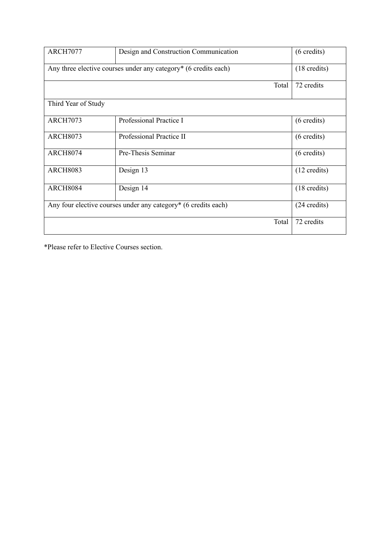| <b>ARCH7077</b>                                                 | Design and Construction Communication | $(6 \text{ credits})$  |  |  |  |
|-----------------------------------------------------------------|---------------------------------------|------------------------|--|--|--|
| Any three elective courses under any category* (6 credits each) | $(18 \text{ credits})$                |                        |  |  |  |
|                                                                 | Total                                 | 72 credits             |  |  |  |
| Third Year of Study                                             |                                       |                        |  |  |  |
| <b>ARCH7073</b>                                                 | Professional Practice I               | $(6 \text{ credits})$  |  |  |  |
| <b>ARCH8073</b>                                                 | Professional Practice II              | $(6 \text{ credits})$  |  |  |  |
| <b>ARCH8074</b>                                                 | Pre-Thesis Seminar                    | $(6 \text{ credits})$  |  |  |  |
| <b>ARCH8083</b>                                                 | Design 13                             | $(12 \text{ credits})$ |  |  |  |
| <b>ARCH8084</b>                                                 | Design 14                             | $(18 \text{ credits})$ |  |  |  |
| Any four elective courses under any category* (6 credits each)  | $(24 \text{ credits})$                |                        |  |  |  |
|                                                                 | Total                                 | 72 credits             |  |  |  |

\*Please refer to Elective Courses section.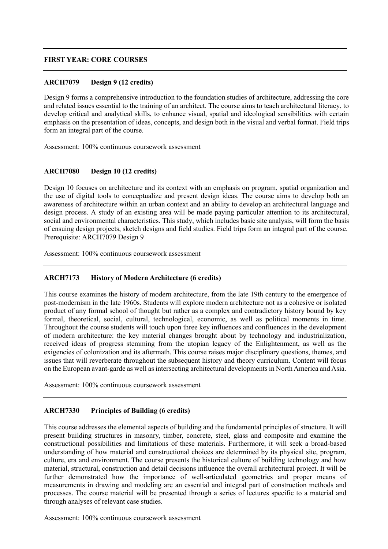### **FIRST YEAR: CORE COURSES**

### **ARCH7079 Design 9 (12 credits)**

 Design 9 forms a comprehensive introduction to the foundation studies of architecture, addressing the core and related issues essential to the training of an architect. The course aims to teach architectural literacy, to develop critical and analytical skills, to enhance visual, spatial and ideological sensibilities with certain emphasis on the presentation of ideas, concepts, and design both in the visual and verbal format. Field trips form an integral part of the course.

Assessment: 100% continuous coursework assessment

# **ARCH7080 Design 10 (12 credits)**

 Design 10 focuses on architecture and its context with an emphasis on program, spatial organization and the use of digital tools to conceptualize and present design ideas. The course aims to develop both an awareness of architecture within an urban context and an ability to develop an architectural language and design process. A study of an existing area will be made paying particular attention to its architectural, social and environmental characteristics. This study, which includes basic site analysis, will form the basis of ensuing design projects, sketch designs and field studies. Field trips form an integral part of the course. Prerequisite: ARCH7079 Design 9

Assessment: 100% continuous coursework assessment

### **ARCH7173 History of Modern Architecture (6 credits)**

 This course examines the history of modern architecture, from the late 19th century to the emergence of post-modernism in the late 1960s. Students will explore modern architecture not as a cohesive or isolated product of any formal school of thought but rather as a complex and contradictory history bound by key Throughout the course students will touch upon three key influences and confluences in the development of modern architecture: the key material changes brought about by technology and industrialization, received ideas of progress stemming from the utopian legacy of the Enlightenment, as well as the exigencies of colonization and its aftermath. This course raises major disciplinary questions, themes, and issues that will reverberate throughout the subsequent history and theory curriculum. Content will focus on the European avant-garde as well as intersecting architectural developments in North America and Asia. formal, theoretical, social, cultural, technological, economic, as well as political moments in time.

Assessment: 100% continuous coursework assessment

# **ARCH7330 Principles of Building (6 credits)**

 This course addresses the elemental aspects of building and the fundamental principles of structure. It will present building structures in masonry, timber, concrete, steel, glass and composite and examine the constructional possibilities and limitations of these materials. Furthermore, it will seek a broad-based understanding of how material and constructional choices are determined by its physical site, program, culture, era and environment. The course presents the historical culture of building technology and how material, structural, construction and detail decisions influence the overall architectural project. It will be further demonstrated how the importance of well-articulated geometries and proper means of measurements in drawing and modeling are an essential and integral part of construction methods and processes. The course material will be presented through a series of lectures specific to a material and through analyses of relevant case studies.

Assessment: 100% continuous coursework assessment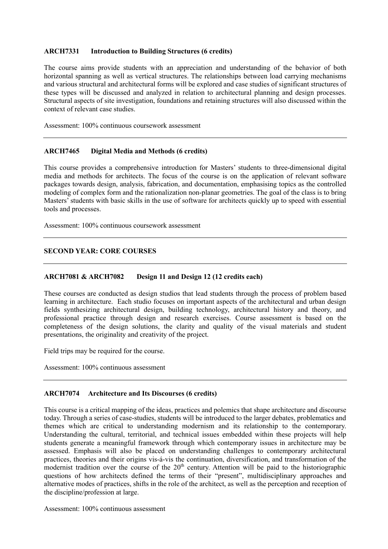# **ARCH7331 Introduction to Building Structures (6 credits)**

 The course aims provide students with an appreciation and understanding of the behavior of both horizontal spanning as well as vertical structures. The relationships between load carrying mechanisms and various structural and architectural forms will be explored and case studies of significant structures of these types will be discussed and analyzed in relation to architectural planning and design processes. Structural aspects of site investigation, foundations and retaining structures will also discussed within the context of relevant case studies.

Assessment: 100% continuous coursework assessment

# **ARCH7465 Digital Media and Methods (6 credits)**

 This course provides a comprehensive introduction for Masters' students to three-dimensional digital media and methods for architects. The focus of the course is on the application of relevant software packages towards design, analysis, fabrication, and documentation, emphasising topics as the controlled modeling of complex form and the rationalization non-planar geometries. The goal of the class is to bring Masters' students with basic skills in the use of software for architects quickly up to speed with essential tools and processes.

Assessment: 100% continuous coursework assessment

# **SECOND YEAR: CORE COURSES**

#### **ARCH7081 & ARCH7082** Design 11 and Design 12 (12 credits each)

 These courses are conducted as design studios that lead students through the process of problem based learning in architecture. Each studio focuses on important aspects of the architectural and urban design fields synthesizing architectural design, building technology, architectural history and theory, and professional practice through design and research exercises. Course assessment is based on the completeness of the design solutions, the clarity and quality of the visual materials and student presentations, the originality and creativity of the project.

Field trips may be required for the course.

Assessment: 100% continuous assessment

# **ARCH7074 Architecture and Its Discourses (6 credits)**

 This course is a critical mapping of the ideas, practices and polemics that shape architecture and discourse today. Through a series of case-studies, students will be introduced to the larger debates, problematics and themes which are critical to understanding modernism and its relationship to the contemporary. Understanding the cultural, territorial, and technical issues embedded within these projects will help students generate a meaningful framework through which contemporary issues in architecture may be assessed. Emphasis will also be placed on understanding challenges to contemporary architectural practices, theories and their origins vis-á-vis the continuation, diversification, and transformation of the modernist tradition over the course of the  $20<sup>th</sup>$  century. Attention will be paid to the historiographic questions of how architects defined the terms of their "present", multidisciplinary approaches and alternative modes of practices, shifts in the role of the architect, as well as the perception and reception of the discipline/profession at large.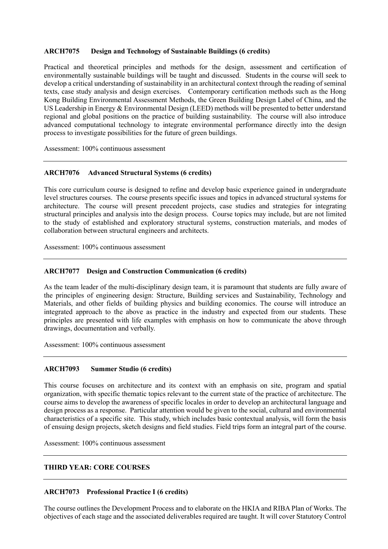# **ARCH7075 Design and Technology of Sustainable Buildings (6 credits)**

 Practical and theoretical principles and methods for the design, assessment and certification of environmentally sustainable buildings will be taught and discussed. Students in the course will seek to develop a critical understanding of sustainability in an architectural context through the reading of seminal texts, case study analysis and design exercises. Contemporary certification methods such as the Hong Kong Building Environmental Assessment Methods, the Green Building Design Label of China, and the US Leadership in Energy & Environmental Design (LEED) methods will be presented to better understand regional and global positions on the practice of building sustainability. The course will also introduce advanced computational technology to integrate environmental performance directly into the design process to investigate possibilities for the future of green buildings.

Assessment: 100% continuous assessment

# **ARCH7076 Advanced Structural Systems (6 credits)**

 This core curriculum course is designed to refine and develop basic experience gained in undergraduate level structures courses. The course presents specific issues and topics in advanced structural systems for architecture. The course will present precedent projects, case studies and strategies for integrating structural principles and analysis into the design process. Course topics may include, but are not limited to the study of established and exploratory structural systems, construction materials, and modes of collaboration between structural engineers and architects.

Assessment: 100% continuous assessment

# **ARCH7077 Design and Construction Communication (6 credits)**

 As the team leader of the multi-disciplinary design team, it is paramount that students are fully aware of the principles of engineering design: Structure, Building services and Sustainability, Technology and Materials, and other fields of building physics and building economics. The course will introduce an integrated approach to the above as practice in the industry and expected from our students. These principles are presented with life examples with emphasis on how to communicate the above through drawings, documentation and verbally.

Assessment: 100% continuous assessment

#### **ARCH7093 Summer Studio (6 credits)**

 This course focuses on architecture and its context with an emphasis on site, program and spatial organization, with specific thematic topics relevant to the current state of the practice of architecture. The course aims to develop the awareness of specific locales in order to develop an architectural language and design process as a response. Particular attention would be given to the social, cultural and environmental characteristics of a specific site. This study, which includes basic contextual analysis, will form the basis of ensuing design projects, sketch designs and field studies. Field trips form an integral part of the course.

Assessment: 100% continuous assessment

# **THIRD YEAR: CORE COURSES**

# **ARCH7073 Professional Practice I (6 credits)**

 The course outlines the Development Process and to elaborate on the HKIA and RIBA Plan of Works. The objectives of each stage and the associated deliverables required are taught. It will cover Statutory Control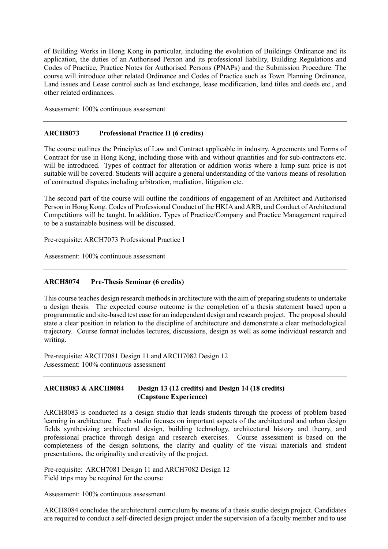of Building Works in Hong Kong in particular, including the evolution of Buildings Ordinance and its application, the duties of an Authorised Person and its professional liability, Building Regulations and Codes of Practice, Practice Notes for Authorised Persons (PNAPs) and the Submission Procedure. The course will introduce other related Ordinance and Codes of Practice such as Town Planning Ordinance, Land issues and Lease control such as land exchange, lease modification, land titles and deeds etc., and other related ordinances.

Assessment: 100% continuous assessment

#### **ARCH8073 Professional Practice II (6 credits)**

 The course outlines the Principles of Law and Contract applicable in industry. Agreements and Forms of Contract for use in Hong Kong, including those with and without quantities and for sub-contractors etc. will be introduced. Types of contract for alteration or addition works where a lump sum price is not suitable will be covered. Students will acquire a general understanding of the various means of resolution of contractual disputes including arbitration, mediation, litigation etc.

 The second part of the course will outline the conditions of engagement of an Architect and Authorised Person in Hong Kong. Codes of Professional Conduct of the HKIA and ARB, and Conduct of Architectural Competitions will be taught. In addition, Types of Practice/Company and Practice Management required to be a sustainable business will be discussed.

Pre-requisite: ARCH7073 Professional Practice I

Assessment: 100% continuous assessment

# **ARCH8074 Pre-Thesis Seminar (6 credits)**

 This course teaches design research methods in architecture with the aim of preparing students to undertake a design thesis. The expected course outcome is the completion of a thesis statement based upon a programmatic and site-based test case for an independent design and research project. The proposal should state a clear position in relation to the discipline of architecture and demonstrate a clear methodological trajectory. Course format includes lectures, discussions, design as well as some individual research and writing.

 Pre-requisite: ARCH7081 Design 11 and ARCH7082 Design 12 Assessment: 100% continuous assessment

#### **ARCH8083 & ARCH8084** Design 13 (12 credits) and Design 14 (18 credits) **(Capstone Experience)**

 ARCH8083 is conducted as a design studio that leads students through the process of problem based learning in architecture. Each studio focuses on important aspects of the architectural and urban design professional practice through design and research exercises. Course assessment is based on the completeness of the design solutions, the clarity and quality of the visual materials and student fields synthesizing architectural design, building technology, architectural history and theory, and presentations, the originality and creativity of the project.

 Pre-requisite: ARCH7081 Design 11 and ARCH7082 Design 12 Field trips may be required for the course

Assessment: 100% continuous assessment

 ARCH8084 concludes the architectural curriculum by means of a thesis studio design project. Candidates are required to conduct a self-directed design project under the supervision of a faculty member and to use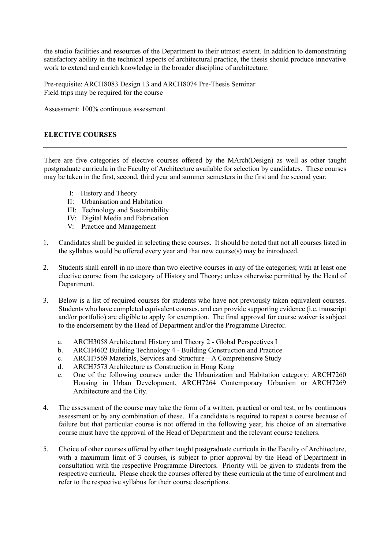the studio facilities and resources of the Department to their utmost extent. In addition to demonstrating satisfactory ability in the technical aspects of architectural practice, the thesis should produce innovative work to extend and enrich knowledge in the broader discipline of architecture.

 Pre-requisite: ARCH8083 Design 13 and ARCH8074 Pre-Thesis Seminar Field trips may be required for the course

Assessment: 100% continuous assessment

# **ELECTIVE COURSES**

 There are five categories of elective courses offered by the MArch(Design) as well as other taught postgraduate curricula in the Faculty of Architecture available for selection by candidates. These courses may be taken in the first, second, third year and summer semesters in the first and the second year:

- I: History and Theory
- II: Urbanisation and Habitation
- III: Technology and Sustainability
- IV: Digital Media and Fabrication
- V: Practice and Management
- 1. Candidates shall be guided in selecting these courses. It should be noted that not all courses listed in the syllabus would be offered every year and that new course(s) may be introduced.
- 2. Students shall enroll in no more than two elective courses in any of the categories; with at least one elective course from the category of History and Theory; unless otherwise permitted by the Head of Department.
- 3. Below is a list of required courses for students who have not previously taken equivalent courses. Students who have completed equivalent courses, and can provide supporting evidence (i.e. transcript and/or portfolio) are eligible to apply for exemption. The final approval for course waiver is subject to the endorsement by the Head of Department and/or the Programme Director.
	- a. ARCH3058 Architectural History and Theory 2 Global Perspectives I
	- b. ARCH4602 Building Technology 4 Building Construction and Practice
	- c. ARCH7569 Materials, Services and Structure A Comprehensive Study
	- d. ARCH7573 Architecture as Construction in Hong Kong
	- e. One of the following courses under the Urbanization and Habitation category: ARCH7260 Housing in Urban Development, ARCH7264 Contemporary Urbanism or ARCH7269 Architecture and the City.
- 4. The assessment of the course may take the form of a written, practical or oral test, or by continuous assessment or by any combination of these. If a candidate is required to repeat a course because of failure but that particular course is not offered in the following year, his choice of an alternative course must have the approval of the Head of Department and the relevant course teachers.
- 5. Choice of other courses offered by other taught postgraduate curricula in the Faculty of Architecture, with a maximum limit of 3 courses, is subject to prior approval by the Head of Department in consultation with the respective Programme Directors. Priority will be given to students from the respective curricula. Please check the courses offered by these curricula at the time of enrolment and refer to the respective syllabus for their course descriptions.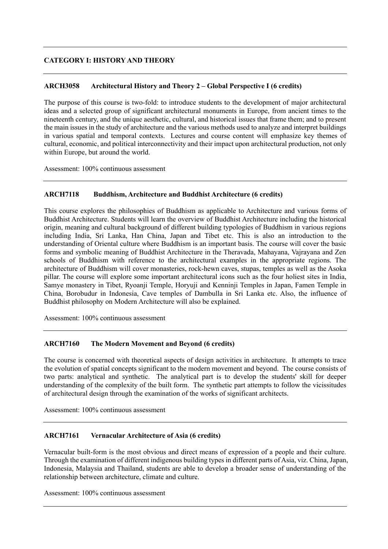# **CATEGORY I: HISTORY AND THEORY**

# **ARCH3058 Architectural History and Theory 2 – Global Perspective I (6 credits)**

 The purpose of this course is two-fold: to introduce students to the development of major architectural ideas and a selected group of significant architectural monuments in Europe, from ancient times to the nineteenth century, and the unique aesthetic, cultural, and historical issues that frame them; and to present the main issues in the study of architecture and the various methods used to analyze and interpret buildings in various spatial and temporal contexts. Lectures and course content will emphasize key themes of cultural, economic, and political interconnectivity and their impact upon architectural production, not only within Europe, but around the world.

Assessment: 100% continuous assessment

#### Buddhism, Architecture and Buddhist Architecture (6 credits)

 This course explores the philosophies of Buddhism as applicable to Architecture and various forms of Buddhist Architecture. Students will learn the overview of Buddhist Architecture including the historical origin, meaning and cultural background of different building typologies of Buddhism in various regions including India, Sri Lanka, Han China, Japan and Tibet etc. This is also an introduction to the understanding of Oriental culture where Buddhism is an important basis. The course will cover the basic forms and symbolic meaning of Buddhist Architecture in the Theravada, Mahayana, Vajrayana and Zen schools of Buddhism with reference to the architectural examples in the appropriate regions. The architecture of Buddhism will cover monasteries, rock-hewn caves, stupas, temples as well as the Asoka pillar. The course will explore some important architectural icons such as the four holiest sites in India, Samye monastery in Tibet, Ryoanji Temple, Horyuji and Kenninji Temples in Japan, Famen Temple in China, Borobudur in Indonesia, Cave temples of Dambulla in Sri Lanka etc. Also, the influence of Buddhist philosophy on Modern Architecture will also be explained.

Assessment: 100% continuous assessment

# **ARCH7160 The Modern Movement and Beyond (6 credits)**

 The course is concerned with theoretical aspects of design activities in architecture. It attempts to trace the evolution of spatial concepts significant to the modern movement and beyond. The course consists of two parts: analytical and synthetic. The analytical part is to develop the students' skill for deeper understanding of the complexity of the built form. The synthetic part attempts to follow the vicissitudes of architectural design through the examination of the works of significant architects.

Assessment: 100% continuous assessment

# **ARCH7161 Vernacular Architecture of Asia (6 credits)**

 Vernacular built-form is the most obvious and direct means of expression of a people and their culture. Through the examination of different indigenous building types in different parts of Asia, viz. China, Japan, Indonesia, Malaysia and Thailand, students are able to develop a broader sense of understanding of the relationship between architecture, climate and culture.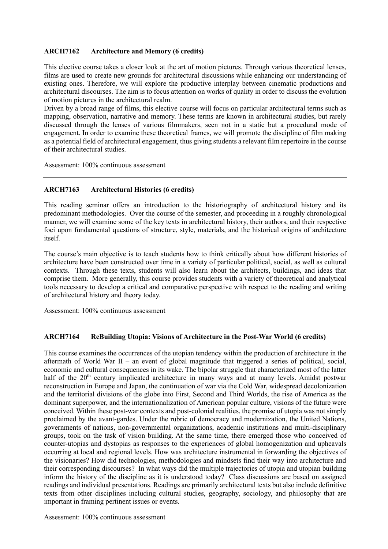# **ARCH7162 Architecture and Memory (6 credits)**

 This elective course takes a closer look at the art of motion pictures. Through various theoretical lenses, films are used to create new grounds for architectural discussions while enhancing our understanding of existing ones. Therefore, we will explore the productive interplay between cinematic productions and architectural discourses. The aim is to focus attention on works of quality in order to discuss the evolution of motion pictures in the architectural realm.

 Driven by a broad range of films, this elective course will focus on particular architectural terms such as mapping, observation, narrative and memory. These terms are known in architectural studies, but rarely discussed through the lenses of various filmmakers, seen not in a static but a procedural mode of engagement. In order to examine these theoretical frames, we will promote the discipline of film making as a potential field of architectural engagement, thus giving students a relevant film repertoire in the course of their architectural studies.

Assessment: 100% continuous assessment

# **ARCH7163 Architectural Histories (6 credits)**

 This reading seminar offers an introduction to the historiography of architectural history and its predominant methodologies. Over the course of the semester, and proceeding in a roughly chronological manner, we will examine some of the key texts in architectural history, their authors, and their respective foci upon fundamental questions of structure, style, materials, and the historical origins of architecture itself.

itself.<br>The course's main objective is to teach students how to think critically about how different histories of architecture have been constructed over time in a variety of particular political, social, as well as cultural contexts. Through these texts, students will also learn about the architects, buildings, and ideas that comprise them. More generally, this course provides students with a variety of theoretical and analytical tools necessary to develop a critical and comparative perspective with respect to the reading and writing of architectural history and theory today.

Assessment: 100% continuous assessment

# **ARCH7164 ReBuilding Utopia: Visions of Architecture in the Post-War World (6 credits)**

 This course examines the occurrences of the utopian tendency within the production of architecture in the aftermath of World War II – an event of global magnitude that triggered a series of political, social, economic and cultural consequences in its wake. The bipolar struggle that characterized most of the latter half of the 20<sup>th</sup> century implicated architecture in many ways and at many levels. Amidst postwar reconstruction in Europe and Japan, the continuation of war via the Cold War, widespread decolonization and the territorial divisions of the globe into First, Second and Third Worlds, the rise of America as the dominant superpower, and the internationalization of American popular culture, visions of the future were conceived. Within these post-war contexts and post-colonial realities, the promise of utopia was not simply proclaimed by the avant-gardes. Under the rubric of democracy and modernization, the United Nations, governments of nations, non-governmental organizations, academic institutions and multi-disciplinary groups, took on the task of vision building. At the same time, there emerged those who conceived of counter-utopias and dystopias as responses to the experiences of global homogenization and upheavals occurring at local and regional levels. How was architecture instrumental in forwarding the objectives of the visionaries? How did technologies, methodologies and mindsets find their way into architecture and their corresponding discourses? In what ways did the multiple trajectories of utopia and utopian building inform the history of the discipline as it is understood today? Class discussions are based on assigned readings and individual presentations. Readings are primarily architectural texts but also include definitive texts from other disciplines including cultural studies, geography, sociology, and philosophy that are important in framing pertinent issues or events.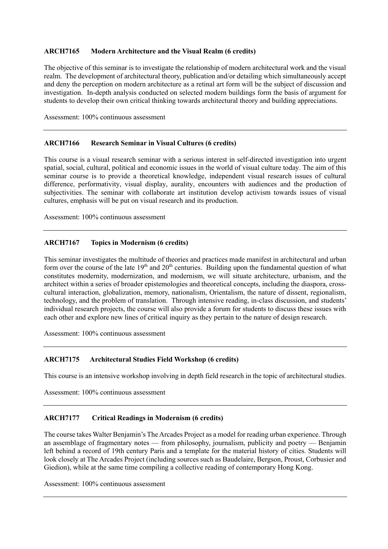# **ARCH7165 Modern Architecture and the Visual Realm (6 credits)**

 The objective of this seminar is to investigate the relationship of modern architectural work and the visual realm. The development of architectural theory, publication and/or detailing which simultaneously accept and deny the perception on modern architecture as a retinal art form will be the subject of discussion and investigation. In-depth analysis conducted on selected modern buildings form the basis of argument for students to develop their own critical thinking towards architectural theory and building appreciations.

Assessment: 100% continuous assessment

# **ARCH7166 Research Seminar in Visual Cultures (6 credits)**

 This course is a visual research seminar with a serious interest in self-directed investigation into urgent spatial, social, cultural, political and economic issues in the world of visual culture today. The aim of this seminar course is to provide a theoretical knowledge, independent visual research issues of cultural difference, performativity, visual display, aurality, encounters with audiences and the production of subjectivities. The seminar with collaborate art institution develop activism towards issues of visual cultures, emphasis will be put on visual research and its production.

Assessment: 100% continuous assessment

# **ARCH7167 Topics in Modernism (6 credits)**

 This seminar investigates the multitude of theories and practices made manifest in architectural and urban form over the course of the late  $19<sup>th</sup>$  and  $20<sup>th</sup>$  centuries. Building upon the fundamental question of what constitutes modernity, modernization, and modernism, we will situate architecture, urbanism, and the architect within a series of broader epistemologies and theoretical concepts, including the diaspora, cross- cultural interaction, globalization, memory, nationalism, Orientalism, the nature of dissent, regionalism, technology, and the problem of translation. Through intensive reading, in-class discussion, and students' individual research projects, the course will also provide a forum for students to discuss these issues with each other and explore new lines of critical inquiry as they pertain to the nature of design research.

Assessment: 100% continuous assessment

#### **ARCH7175** Architectural Studies Field Workshop (6 credits)

This course is an intensive workshop involving in depth field research in the topic of architectural studies.

Assessment: 100% continuous assessment

#### **ARCH7177 Critical Readings in Modernism (6 credits)**

 The course takes Walter Benjamin's The Arcades Project as a model for reading urban experience. Through an assemblage of fragmentary notes — from philosophy, journalism, publicity and poetry — Benjamin left behind a record of 19th century Paris and a template for the material history of cities. Students will look closely at The Arcades Project (including sources such as Baudelaire, Bergson, Proust, Corbusier and Giedion), while at the same time compiling a collective reading of contemporary Hong Kong.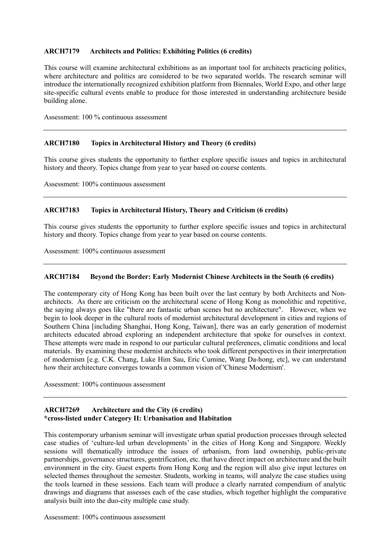#### **ARCH7179** Architects and Politics: Exhibiting Politics (6 credits)

 This course will examine architectural exhibitions as an important tool for architects practicing politics, where architecture and politics are considered to be two separated worlds. The research seminar will introduce the internationally recognized exhibition platform from Biennales, World Expo, and other large site-specific cultural events enable to produce for those interested in understanding architecture beside building alone.

Assessment: 100 % continuous assessment

# **ARCH7180 Topics in Architectural History and Theory (6 credits)**

 This course gives students the opportunity to further explore specific issues and topics in architectural history and theory. Topics change from year to year based on course contents.

Assessment: 100% continuous assessment

# **ARCH7183 Topics in Architectural History, Theory and Criticism (6 credits)**

 This course gives students the opportunity to further explore specific issues and topics in architectural history and theory. Topics change from year to year based on course contents.

Assessment: 100% continuous assessment

#### Beyond the Border: Early Modernist Chinese Architects in the South (6 credits)

 The contemporary city of Hong Kong has been built over the last century by both Architects and Non- architects. As there are criticism on the architectural scene of Hong Kong as monolithic and repetitive, the saying always goes like "there are fantastic urban scenes but no architecture". However, when we begin to look deeper in the cultural roots of modernist architectural development in cities and regions of Southern China [including Shanghai, Hong Kong, Taiwan], there was an early generation of modernist architects educated abroad exploring an independent architecture that spoke for ourselves in context. These attempts were made in respond to our particular cultural preferences, climatic conditions and local materials. By examining these modernist architects who took different perspectives in their interpretation of modernism [e.g. C.K. Chang, Luke Him Sau, Eric Cumine, Wang Da-hong, etc], we can understand how their architecture converges towards a common vision of 'Chinese Modernism'.

Assessment: 100% continuous assessment

#### **ARCH7269** Architecture and the City (6 credits) **\*cross-listed under Category II: Urbanisation and Habitation**

 This contemporary urbanism seminar will investigate urban spatial production processes through selected case studies of 'culture-led urban developments' in the cities of Hong Kong and Singapore. Weekly sessions will thematically introduce the issues of urbanism, from land ownership, public-private partnerships, governance structures, gentrification, etc. that have direct impact on architecture and the built environment in the city. Guest experts from Hong Kong and the region will also give input lectures on selected themes throughout the semester. Students, working in teams, will analyze the case studies using the tools learned in these sessions. Each team will produce a clearly narrated compendium of analytic drawings and diagrams that assesses each of the case studies, which together highlight the comparative analysis built into the duo-city multiple case study.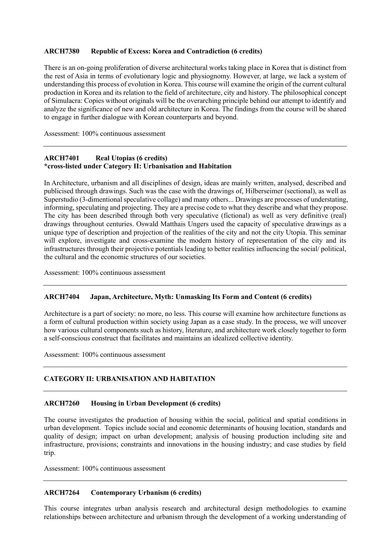# **ARCH7380 Republic of Excess: Korea and Contradiction (6 credits)**

 There is an on-going proliferation of diverse architectural works taking place in Korea that is distinct from the rest of Asia in terms of evolutionary logic and physiognomy. However, at large, we lack a system of understanding this process of evolution in Korea. This course will examine the origin of the current cultural production in Korea and its relation to the field of architecture, city and history. The philosophical concept of Simulacra: Copies without originals will be the overarching principle behind our attempt to identify and analyze the significance of new and old architecture in Korea. The findings from the course will be shared to engage in further dialogue with Korean counterparts and beyond.

Assessment: 100% continuous assessment

### **ARCH7401 Real Utopias (6 credits) \*cross-listed under Category II: Urbanisation and Habitation**

 In Architecture, urbanism and all disciplines of design, ideas are mainly written, analysed, described and publicised through drawings. Such was the case with the drawings of, Hilberseimer (sectional), as well as Superstudio (3-dimentional speculative collage) and many others... Drawings are processes of understating, informing, speculating and projecting. They are a precise code to what they describe and what they propose. The city has been described through both very speculative (fictional) as well as very definitive (real) drawings throughout centuries. Oswald Matthais Ungers used the capacity of speculative drawings as a unique type of description and projection of the realities of the city and not the city Utopia. This seminar will explore, investigate and cross-examine the modern history of representation of the city and its infrastructures through their projective potentials leading to better realities influencing the social/ political, the cultural and the economic structures of our societies.

Assessment: 100% continuous assessment

#### Japan, Architecture, Myth: Unmasking Its Form and Content (6 credits)

 Architecture is a part of society: no more, no less. This course will examine how architecture functions as a form of cultural production within society using Japan as a case study. In the process, we will uncover how various cultural components such as history, literature, and architecture work closely together to form a self-conscious construct that facilitates and maintains an idealized collective identity.

Assessment: 100% continuous assessment

# **CATEGORY II: URBANISATION AND HABITATION**

# **ARCH7260 Housing in Urban Development (6 credits)**

 The course investigates the production of housing within the social, political and spatial conditions in urban development. Topics include social and economic determinants of housing location, standards and quality of design; impact on urban development; analysis of housing production including site and infrastructure, provisions; constraints and innovations in the housing industry; and case studies by field trip.

Assessment: 100% continuous assessment

# **ARCH7264 Contemporary Urbanism (6 credits)**

 This course integrates urban analysis research and architectural design methodologies to examine relationships between architecture and urbanism through the development of a working understanding of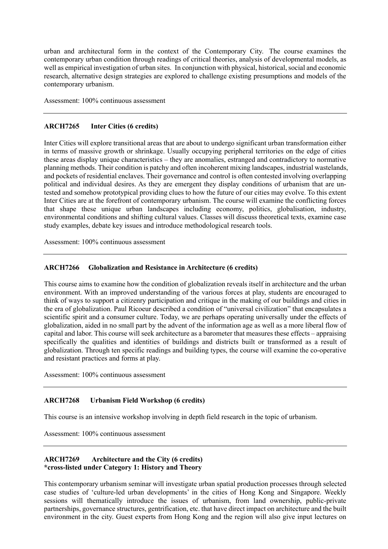urban and architectural form in the context of the Contemporary City. The course examines the contemporary urban condition through readings of critical theories, analysis of developmental models, as well as empirical investigation of urban sites. In conjunction with physical, historical, social and economic research, alternative design strategies are explored to challenge existing presumptions and models of the contemporary urbanism.

Assessment: 100% continuous assessment

# **ARCH7265 Inter Cities (6 credits)**

 Inter Cities will explore transitional areas that are about to undergo significant urban transformation either in terms of massive growth or shrinkage. Usually occupying peripheral territories on the edge of cities these areas display unique characteristics – they are anomalies, estranged and contradictory to normative planning methods. Their condition is patchy and often incoherent mixing landscapes, industrial wastelands, and pockets of residential enclaves. Their governance and control is often contested involving overlapping political and individual desires. As they are emergent they display conditions of urbanism that are un- tested and somehow prototypical providing clues to how the future of our cities may evolve. To this extent Inter Cities are at the forefront of contemporary urbanism. The course will examine the conflicting forces that shape these unique urban landscapes including economy, politics, globalisation, industry, environmental conditions and shifting cultural values. Classes will discuss theoretical texts, examine case study examples, debate key issues and introduce methodological research tools.

Assessment: 100% continuous assessment

# **ARCH7266 Globalization and Resistance in Architecture (6 credits)**

 This course aims to examine how the condition of globalization reveals itself in architecture and the urban environment. With an improved understanding of the various forces at play, students are encouraged to think of ways to support a citizenry participation and critique in the making of our buildings and cities in scientific spirit and a consumer culture. Today, we are perhaps operating universally under the effects of globalization, aided in no small part by the advent of the information age as well as a more liberal flow of capital and labor. This course will seek architecture as a barometer that measures these effects – appraising specifically the qualities and identities of buildings and districts built or transformed as a result of and resistant practices and forms at play. the era of globalization. Paul Ricoeur described a condition of "universal civilization" that encapsulates a globalization. Through ten specific readings and building types, the course will examine the co-operative

Assessment: 100% continuous assessment

#### **Urbanism Field Workshop (6 credits)**

This course is an intensive workshop involving in depth field research in the topic of urbanism.

Assessment: 100% continuous assessment

#### **ARCH7269** Architecture and the City (6 credits) **\*cross-listed under Category 1: History and Theory**

 This contemporary urbanism seminar will investigate urban spatial production processes through selected case studies of 'culture-led urban developments' in the cities of Hong Kong and Singapore. Weekly sessions will thematically introduce the issues of urbanism, from land ownership, public-private partnerships, governance structures, gentrification, etc. that have direct impact on architecture and the built environment in the city. Guest experts from Hong Kong and the region will also give input lectures on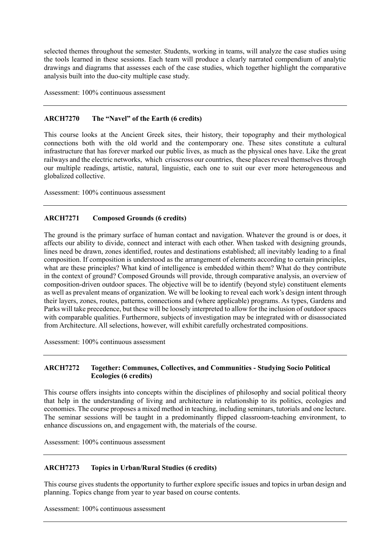selected themes throughout the semester. Students, working in teams, will analyze the case studies using the tools learned in these sessions. Each team will produce a clearly narrated compendium of analytic drawings and diagrams that assesses each of the case studies, which together highlight the comparative analysis built into the duo-city multiple case study.

Assessment: 100% continuous assessment

#### **ARCH7270** The "Navel" of the Earth (6 credits)

 This course looks at the Ancient Greek sites, their history, their topography and their mythological connections both with the old world and the contemporary one. These sites constitute a cultural infrastructure that has forever marked our public lives, as much as the physical ones have. Like the great railways and the electric networks, which crisscross our countries, these places reveal themselves through our multiple readings, artistic, natural, linguistic, each one to suit our ever more heterogeneous and globalized collective.

Assessment: 100% continuous assessment

#### **ARCH7271 Composed Grounds (6 credits)**

 The ground is the primary surface of human contact and navigation. Whatever the ground is or does, it affects our ability to divide, connect and interact with each other. When tasked with designing grounds, lines need be drawn, zones identified, routes and destinations established; all inevitably leading to a final composition. If composition is understood as the arrangement of elements according to certain principles, what are these principles? What kind of intelligence is embedded within them? What do they contribute in the context of ground? Composed Grounds will provide, through comparative analysis, an overview of composition-driven outdoor spaces. The objective will be to identify (beyond style) constituent elements as well as prevalent means of organization. We will be looking to reveal each work's design intent through their layers, zones, routes, patterns, connections and (where applicable) programs. As types, Gardens and Parks will take precedence, but these will be loosely interpreted to allow for the inclusion of outdoor spaces with comparable qualities. Furthermore, subjects of investigation may be integrated with or disassociated from Architecture. All selections, however, will exhibit carefully orchestrated compositions.

Assessment: 100% continuous assessment

#### **ARCH7272 Together: Communes, Collectives, and Communities - Studying Socio Political Ecologies (6 credits)**

 This course offers insights into concepts within the disciplines of philosophy and social political theory that help in the understanding of living and architecture in relationship to its politics, ecologies and economies. The course proposes a mixed method in teaching, including seminars, tutorials and one lecture. The seminar sessions will be taught in a predominantly flipped classroom-teaching environment, to enhance discussions on, and engagement with, the materials of the course.

Assessment: 100% continuous assessment

# **ARCH7273 Topics in Urban/Rural Studies (6 credits)**

 This course gives students the opportunity to further explore specific issues and topics in urban design and planning. Topics change from year to year based on course contents.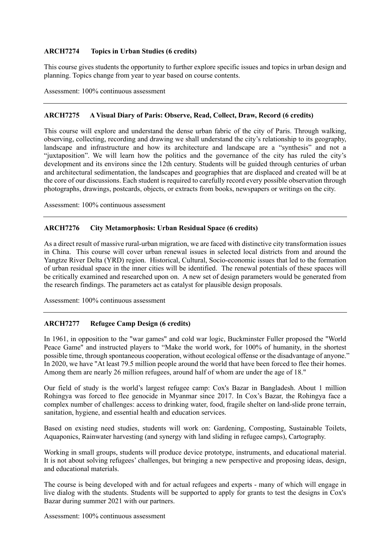# **ARCH7274 Topics in Urban Studies (6 credits)**

 This course gives students the opportunity to further explore specific issues and topics in urban design and planning. Topics change from year to year based on course contents.

Assessment: 100% continuous assessment

#### **ARCH7275** A Visual Diary of Paris: Observe, Read, Collect, Draw, Record (6 credits)

 This course will explore and understand the dense urban fabric of the city of Paris. Through walking, observing, collecting, recording and drawing we shall understand the city's relationship to its geography, landscape and infrastructure and how its architecture and landscape are a "synthesis" and not a "juxtaposition". We will learn how the politics and the governance of the city has ruled the city's development and its environs since the 12th century. Students will be guided through centuries of urban and architectural sedimentation, the landscapes and geographies that are displaced and created will be at the core of our discussions. Each student is required to carefully record every possible observation through photographs, drawings, postcards, objects, or extracts from books, newspapers or writings on the city.

Assessment: 100% continuous assessment

#### **ARCH7276 City Metamorphosis: Urban Residual Space (6 credits)**

 As a direct result of massive rural-urban migration, we are faced with distinctive city transformation issues in China. This course will cover urban renewal issues in selected local districts from and around the Yangtze River Delta (YRD) region. Historical, Cultural, Socio-economic issues that led to the formation of urban residual space in the inner cities will be identified. The renewal potentials of these spaces will be critically examined and researched upon on. A new set of design parameters would be generated from the research findings. The parameters act as catalyst for plausible design proposals.

Assessment: 100% continuous assessment

#### **ARCH7277 Refugee Camp Design (6 credits)**

 In 1961, in opposition to the "war games" and cold war logic, Buckminster Fuller proposed the "World Peace Game" and instructed players to "Make the world work, for 100% of humanity, in the shortest possible time, through spontaneous cooperation, without ecological offense or the disadvantage of anyone." In 2020, we have "At least 79.5 million people around the world that have been forced to flee their homes. Among them are nearly 26 million refugees, around half of whom are under the age of 18."

 Our field of study is the world's largest refugee camp: Cox's Bazar in Bangladesh. About 1 million Rohingya was forced to flee genocide in Myanmar since 2017. In Cox's Bazar, the Rohingya face a complex number of challenges: access to drinking water, food, fragile shelter on land-slide prone terrain, sanitation, hygiene, and essential health and education services.

 Based on existing need studies, students will work on: Gardening, Composting, Sustainable Toilets, Aquaponics, Rainwater harvesting (and synergy with land sliding in refugee camps), Cartography.

 Working in small groups, students will produce device prototype, instruments, and educational material. It is not about solving refugees' challenges, but bringing a new perspective and proposing ideas, design, and educational materials.

 The course is being developed with and for actual refugees and experts - many of which will engage in live dialog with the students. Students will be supported to apply for grants to test the designs in Cox's Bazar during summer 2021 with our partners.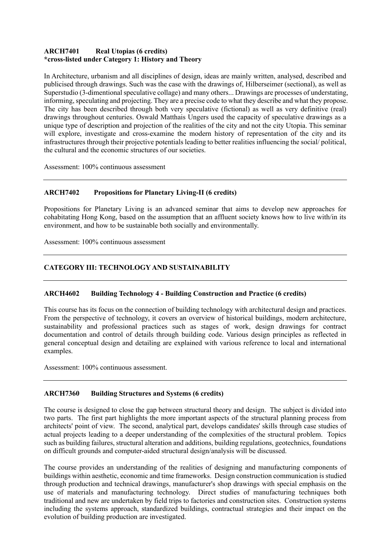#### **ARCH7401 Real Utopias (6 credits) \*cross-listed under Category 1: History and Theory**

 In Architecture, urbanism and all disciplines of design, ideas are mainly written, analysed, described and publicised through drawings. Such was the case with the drawings of, Hilberseimer (sectional), as well as Superstudio (3-dimentional speculative collage) and many others... Drawings are processes of understating, informing, speculating and projecting. They are a precise code to what they describe and what they propose. The city has been described through both very speculative (fictional) as well as very definitive (real) drawings throughout centuries. Oswald Matthais Ungers used the capacity of speculative drawings as a unique type of description and projection of the realities of the city and not the city Utopia. This seminar will explore, investigate and cross-examine the modern history of representation of the city and its infrastructures through their projective potentials leading to better realities influencing the social/ political, the cultural and the economic structures of our societies.

Assessment: 100% continuous assessment

#### **ARCH7402** Propositions for Planetary Living-II (6 credits)

 Propositions for Planetary Living is an advanced seminar that aims to develop new approaches for cohabitating Hong Kong, based on the assumption that an affluent society knows how to live with/in its environment, and how to be sustainable both socially and environmentally.

Assessment: 100% continuous assessment

# **CATEGORY III: TECHNOLOGY AND SUSTAINABILITY**

# **ARCH4602 Building Technology 4 - Building Construction and Practice (6 credits)**

 This course has its focus on the connection of building technology with architectural design and practices. From the perspective of technology, it covers an overview of historical buildings, modern architecture, sustainability and professional practices such as stages of work, design drawings for contract documentation and control of details through building code. Various design principles as reflected in general conceptual design and detailing are explained with various reference to local and international examples.

Assessment: 100% continuous assessment.

# **ARCH7360 Building Structures and Systems (6 credits)**

 The course is designed to close the gap between structural theory and design. The subject is divided into two parts. The first part highlights the more important aspects of the structural planning process from architects' point of view. The second, analytical part, develops candidates' skills through case studies of actual projects leading to a deeper understanding of the complexities of the structural problem. Topics such as building failures, structural alteration and additions, building regulations, geotechnics, foundations on difficult grounds and computer-aided structural design/analysis will be discussed.

 The course provides an understanding of the realities of designing and manufacturing components of buildings within aesthetic, economic and time frameworks. Design construction communication is studied through production and technical drawings, manufacturer's shop drawings with special emphasis on the use of materials and manufacturing technology. Direct studies of manufacturing techniques both traditional and new are undertaken by field trips to factories and construction sites. Construction systems including the systems approach, standardized buildings, contractual strategies and their impact on the evolution of building production are investigated.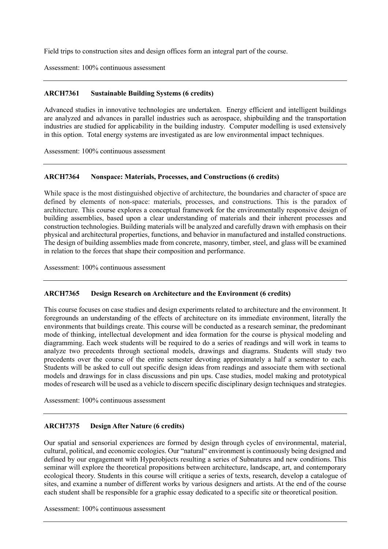Field trips to construction sites and design offices form an integral part of the course.

Assessment: 100% continuous assessment

### **ARCH7361 Sustainable Building Systems (6 credits)**

 Advanced studies in innovative technologies are undertaken. Energy efficient and intelligent buildings are analyzed and advances in parallel industries such as aerospace, shipbuilding and the transportation industries are studied for applicability in the building industry. Computer modelling is used extensively in this option. Total energy systems are investigated as are low environmental impact techniques.

Assessment: 100% continuous assessment

### **ARCH7364 Nonspace: Materials, Processes, and Constructions (6 credits)**

 While space is the most distinguished objective of architecture, the boundaries and character of space are defined by elements of non-space: materials, processes, and constructions. This is the paradox of building assemblies, based upon a clear understanding of materials and their inherent processes and construction technologies. Building materials will be analyzed and carefully drawn with emphasis on their physical and architectural properties, functions, and behavior in manufactured and installed constructions. The design of building assemblies made from concrete, masonry, timber, steel, and glass will be examined architecture. This course explores a conceptual framework for the environmentally responsive design of in relation to the forces that shape their composition and performance.

Assessment: 100% continuous assessment

### **ARCH7365 Design Research on Architecture and the Environment (6 credits)**

 This course focuses on case studies and design experiments related to architecture and the environment. It foregrounds an understanding of the effects of architecture on its immediate environment, literally the environments that buildings create. This course will be conducted as a research seminar, the predominant mode of thinking, intellectual development and idea formation for the course is physical modeling and diagramming. Each week students will be required to do a series of readings and will work in teams to analyze two precedents through sectional models, drawings and diagrams. Students will study two precedents over the course of the entire semester devoting approximately a half a semester to each. Students will be asked to cull out specific design ideas from readings and associate them with sectional models and drawings for in class discussions and pin ups. Case studies, model making and prototypical modes of research will be used as a vehicle to discern specific disciplinary design techniques and strategies.

Assessment: 100% continuous assessment

#### **ARCH7375 Design After Nature (6 credits)**

 Our spatial and sensorial experiences are formed by design through cycles of environmental, material, cultural, political, and economic ecologies. Our "natural" environment is continuously being designed and defined by our engagement with Hyperobjects resulting a series of Subnatures and new conditions. This seminar will explore the theoretical propositions between architecture, landscape, art, and contemporary ecological theory. Students in this course will critique a series of texts, research, develop a catalogue of sites, and examine a number of different works by various designers and artists. At the end of the course each student shall be responsible for a graphic essay dedicated to a specific site or theoretical position.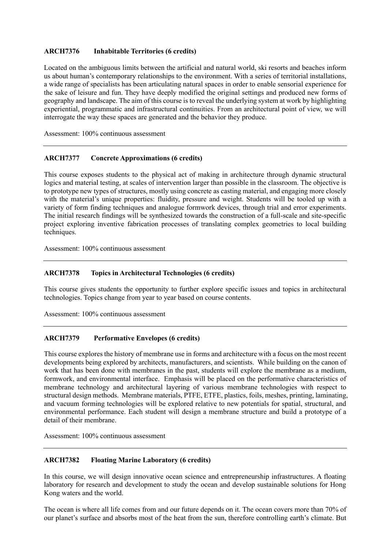#### **ARCH7376 Inhabitable Territories (6 credits)**

 Located on the ambiguous limits between the artificial and natural world, ski resorts and beaches inform us about human's contemporary relationships to the environment. With a series of territorial installations, a wide range of specialists has been articulating natural spaces in order to enable sensorial experience for the sake of leisure and fun. They have deeply modified the original settings and produced new forms of geography and landscape. The aim of this course is to reveal the underlying system at work by highlighting experiential, programmatic and infrastructural continuities. From an architectural point of view, we will interrogate the way these spaces are generated and the behavior they produce.

Assessment: 100% continuous assessment

# **ARCH7377 Concrete Approximations (6 credits)**

 This course exposes students to the physical act of making in architecture through dynamic structural logics and material testing, at scales of intervention larger than possible in the classroom. The objective is to prototype new types of structures, mostly using concrete as casting material, and engaging more closely with the material's unique properties: fluidity, pressure and weight. Students will be tooled up with a variety of form finding techniques and analogue formwork devices, through trial and error experiments. The initial research findings will be synthesized towards the construction of a full-scale and site-specific project exploring inventive fabrication processes of translating complex geometries to local building techniques.

Assessment: 100% continuous assessment

### **ARCH7378 Topics in Architectural Technologies (6 credits)**

 This course gives students the opportunity to further explore specific issues and topics in architectural technologies. Topics change from year to year based on course contents.

Assessment: 100% continuous assessment

#### **ARCH7379** Performative Envelopes (6 credits)

 This course explores the history of membrane use in forms and architecture with a focus on the most recent developments being explored by architects, manufacturers, and scientists. While building on the canon of work that has been done with membranes in the past, students will explore the membrane as a medium, formwork, and environmental interface. Emphasis will be placed on the performative characteristics of membrane technology and architectural layering of various membrane technologies with respect to structural design methods. Membrane materials, PTFE, ETFE, plastics, foils, meshes, printing, laminating, and vacuum forming technologies will be explored relative to new potentials for spatial, structural, and environmental performance. Each student will design a membrane structure and build a prototype of a detail of their membrane.

Assessment: 100% continuous assessment

### **ARCH7382 Floating Marine Laboratory (6 credits)**

 In this course, we will design innovative ocean science and entrepreneurship infrastructures. A floating laboratory for research and development to study the ocean and develop sustainable solutions for Hong Kong waters and the world.

 The ocean is where all life comes from and our future depends on it. The ocean covers more than 70% of our planet's surface and absorbs most of the heat from the sun, therefore controlling earth's climate. But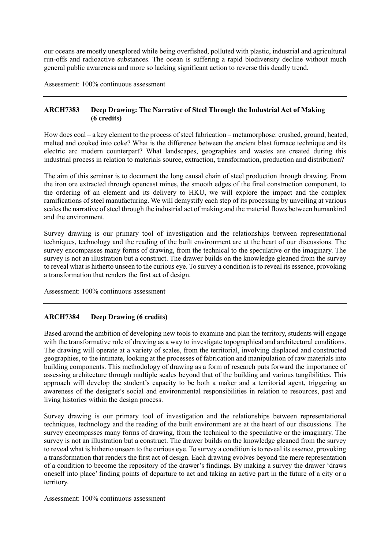our oceans are mostly unexplored while being overfished, polluted with plastic, industrial and agricultural run-offs and radioactive substances. The ocean is suffering a rapid biodiversity decline without much general public awareness and more so lacking significant action to reverse this deadly trend.

Assessment: 100% continuous assessment

# **ARCH7383 Deep Drawing: The Narrative of Steel Through the Industrial Act of Making (6 credits)**

 How does coal – a key element to the process of steel fabrication – metamorphose: crushed, ground, heated, melted and cooked into coke? What is the difference between the ancient blast furnace technique and its electric arc modern counterpart? What landscapes, geographies and wastes are created during this industrial process in relation to materials source, extraction, transformation, production and distribution?

 The aim of this seminar is to document the long causal chain of steel production through drawing. From the iron ore extracted through opencast mines, the smooth edges of the final construction component, to the ordering of an element and its delivery to HKU, we will explore the impact and the complex ramifications of steel manufacturing. We will demystify each step of its processing by unveiling at various scales the narrative of steel through the industrial act of making and the material flows between humankind and the environment.

 Survey drawing is our primary tool of investigation and the relationships between representational techniques, technology and the reading of the built environment are at the heart of our discussions. The survey encompasses many forms of drawing, from the technical to the speculative or the imaginary. The survey is not an illustration but a construct. The drawer builds on the knowledge gleaned from the survey to reveal what is hitherto unseen to the curious eye. To survey a condition is to reveal its essence, provoking a transformation that renders the first act of design.

Assessment: 100% continuous assessment

# **ARCH7384 Deep Drawing (6 credits)**

 Based around the ambition of developing new tools to examine and plan the territory, students will engage with the transformative role of drawing as a way to investigate topographical and architectural conditions. The drawing will operate at a variety of scales, from the territorial, involving displaced and constructed geographies, to the intimate, looking at the processes of fabrication and manipulation of raw materials into building components. This methodology of drawing as a form of research puts forward the importance of assessing architecture through multiple scales beyond that of the building and various tangibilities. This approach will develop the student's capacity to be both a maker and a territorial agent, triggering an awareness of the designer's social and environmental responsibilities in relation to resources, past and living histories within the design process.

 Survey drawing is our primary tool of investigation and the relationships between representational techniques, technology and the reading of the built environment are at the heart of our discussions. The survey encompasses many forms of drawing, from the technical to the speculative or the imaginary. The survey is not an illustration but a construct. The drawer builds on the knowledge gleaned from the survey to reveal what is hitherto unseen to the curious eye. To survey a condition is to reveal its essence, provoking a transformation that renders the first act of design. Each drawing evolves beyond the mere representation of a condition to become the repository of the drawer's findings. By making a survey the drawer 'draws oneself into place' finding points of departure to act and taking an active part in the future of a city or a territory.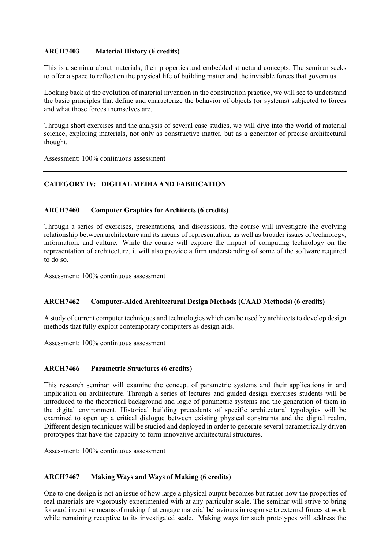#### **ARCH7403 Material History (6 credits)**

 This is a seminar about materials, their properties and embedded structural concepts. The seminar seeks to offer a space to reflect on the physical life of building matter and the invisible forces that govern us.

 Looking back at the evolution of material invention in the construction practice, we will see to understand the basic principles that define and characterize the behavior of objects (or systems) subjected to forces and what those forces themselves are.

 Through short exercises and the analysis of several case studies, we will dive into the world of material science, exploring materials, not only as constructive matter, but as a generator of precise architectural thought.

Assessment: 100% continuous assessment

# **CATEGORY IV: DIGITAL MEDIA AND FABRICATION**

# **ARCH7460 Computer Graphics for Architects (6 credits)**

 Through a series of exercises, presentations, and discussions, the course will investigate the evolving relationship between architecture and its means of representation, as well as broader issues of technology, information, and culture. While the course will explore the impact of computing technology on the representation of architecture, it will also provide a firm understanding of some of the software required to do so.

Assessment: 100% continuous assessment

# **ARCH7462 Computer-Aided Architectural Design Methods (CAAD Methods) (6 credits)**

 methods that fully exploit contemporary computers as design aids. A study of current computer techniques and technologies which can be used by architects to develop design

Assessment: 100% continuous assessment

# **ARCH7466 Parametric Structures (6 credits)**

 This research seminar will examine the concept of parametric systems and their applications in and implication on architecture. Through a series of lectures and guided design exercises students will be introduced to the theoretical background and logic of parametric systems and the generation of them in the digital environment. Historical building precedents of specific architectural typologies will be examined to open up a critical dialogue between existing physical constraints and the digital realm. Different design techniques will be studied and deployed in order to generate several parametrically driven prototypes that have the capacity to form innovative architectural structures.

Assessment: 100% continuous assessment

# **ARCH7467 Making Ways and Ways of Making (6 credits)**

 One to one design is not an issue of how large a physical output becomes but rather how the properties of real materials are vigorously experimented with at any particular scale. The seminar will strive to bring forward inventive means of making that engage material behaviours in response to external forces at work while remaining receptive to its investigated scale. Making ways for such prototypes will address the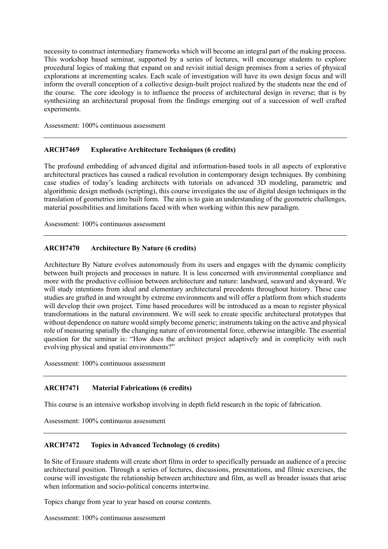necessity to construct intermediary frameworks which will become an integral part of the making process. This workshop based seminar, supported by a series of lectures, will encourage students to explore procedural logics of making that expand on and revisit initial design premises from a series of physical explorations at incrementing scales. Each scale of investigation will have its own design focus and will inform the overall conception of a collective design-built project realized by the students near the end of the course. The core ideology is to influence the process of architectural design in reverse; that is by synthesizing an architectural proposal from the findings emerging out of a succession of well crafted experiments.

Assessment: 100% continuous assessment

# **ARCH7469 Explorative Architecture Techniques (6 credits)**

 The profound embedding of advanced digital and information-based tools in all aspects of explorative architectural practices has caused a radical revolution in contemporary design techniques. By combining case studies of today's leading architects with tutorials on advanced 3D modeling, parametric and algorithmic design methods (scripting), this course investigates the use of digital design techniques in the translation of geometries into built form. The aim is to gain an understanding of the geometric challenges, material possibilities and limitations faced with when working within this new paradigm.

Assessment: 100% continuous assessment

# **ARCH7470 Architecture By Nature (6 credits)**

 Architecture By Nature evolves autonomously from its users and engages with the dynamic complicity between built projects and processes in nature. It is less concerned with environmental compliance and more with the productive collision between architecture and nature: landward, seaward and skyward. We will study intentions from ideal and elementary architectural precedents throughout history. These case studies are grafted in and wrought by extreme environments and will offer a platform from which students will develop their own project. Time based procedures will be introduced as a mean to register physical transformations in the natural environment. We will seek to create specific architectural prototypes that without dependence on nature would simply become generic; instruments taking on the active and physical role of measuring spatially the changing nature of environmental force, otherwise intangible. The essential question for the seminar is: "How does the architect project adaptively and in complicity with such evolving physical and spatial environments?"

Assessment: 100% continuous assessment

#### **ARCH7471 Material Fabrications (6 credits)**

This course is an intensive workshop involving in depth field research in the topic of fabrication.

Assessment: 100% continuous assessment

# **ARCH7472 Topics in Advanced Technology (6 credits)**

 In Site of Erasure students will create short films in order to specifically persuade an audience of a precise architectural position. Through a series of lectures, discussions, presentations, and filmic exercises, the course will investigate the relationship between architecture and film, as well as broader issues that arise when information and socio-political concerns intertwine.

Topics change from year to year based on course contents.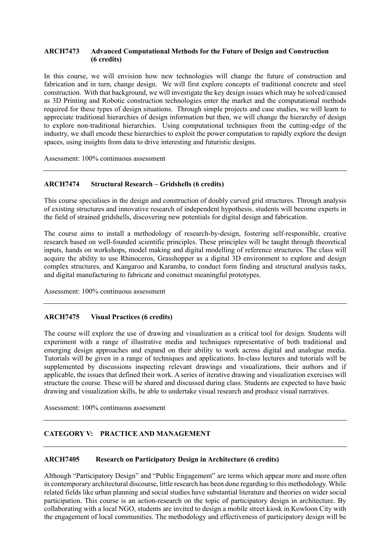# **ARCH7473 Advanced Computational Methods for the Future of Design and Construction (6 credits)**

 In this course, we will envision how new technologies will change the future of construction and fabrication and in turn, change design. We will first explore concepts of traditional concrete and steel construction. With that background, we will investigate the key design issues which may be solved/caused as 3D Printing and Robotic construction technologies enter the market and the computational methods required for these types of design situations. Through simple projects and case studies, we will learn to appreciate traditional hierarchies of design information but then, we will change the hierarchy of design to explore non-traditional hierarchies. Using computational techniques from the cutting-edge of the industry, we shall encode these hierarchies to exploit the power computation to rapidly explore the design spaces, using insights from data to drive interesting and futuristic designs.

Assessment: 100% continuous assessment

# **ARCH7474 Structural Research – Gridshells (6 credits)**

 This course specialises in the design and construction of doubly curved grid structures. Through analysis of existing structures and innovative research of independent hypothesis, students will become experts in the field of strained gridshells, discovering new potentials for digital design and fabrication.

 The course aims to install a methodology of research-by-design, fostering self-responsible, creative research based on well-founded scientific principles. These principles will be taught through theoretical inputs, hands on workshops, model making and digital modelling of reference structures. The class will acquire the ability to use Rhinoceros, Grasshopper as a digital 3D environment to explore and design complex structures, and Kangaroo and Karamba, to conduct form finding and structural analysis tasks, and digital manufacturing to fabricate and construct meaningful prototypes.

Assessment: 100% continuous assessment

# **ARCH7475 Visual Practices (6 credits)**

 The course will explore the use of drawing and visualization as a critical tool for design. Students will emerging design approaches and expand on their ability to work across digital and analogue media. Tutorials will be given in a range of techniques and applications. In-class lectures and tutorials will be supplemented by discussions inspecting relevant drawings and visualizations, their authors and if applicable, the issues that defined their work. A series of iterative drawing and visualization exercises will structure the course. These will be shared and discussed during class. Students are expected to have basic experiment with a range of illustrative media and techniques representative of both traditional and drawing and visualization skills, be able to undertake visual research and produce visual narratives.

Assessment: 100% continuous assessment

# **CATEGORY V: PRACTICE AND MANAGEMENT**

#### **ARCH7405 Research on Participatory Design in Architecture (6 credits)**

 Although "Participatory Design" and "Public Engagement" are terms which appear more and more often in contemporary architectural discourse, little research has been done regarding to this methodology. While related fields like urban planning and social studies have substantial literature and theories on wider social participation. This course is an action-research on the topic of participatory design in architecture. By collaborating with a local NGO, students are invited to design a mobile street kiosk in Kowloon City with the engagement of local communities. The methodology and effectiveness of participatory design will be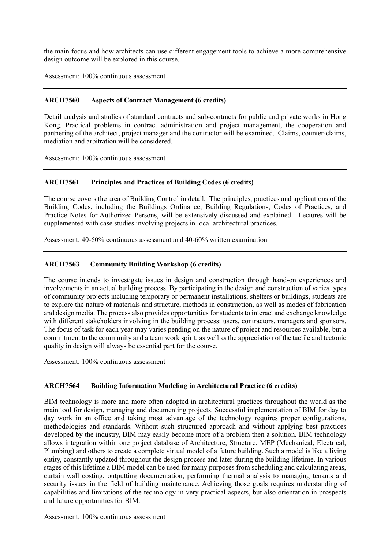the main focus and how architects can use different engagement tools to achieve a more comprehensive design outcome will be explored in this course.

Assessment: 100% continuous assessment

# **ARCH7560 Aspects of Contract Management (6 credits)**

 Detail analysis and studies of standard contracts and sub-contracts for public and private works in Hong Kong. Practical problems in contract administration and project management, the cooperation and partnering of the architect, project manager and the contractor will be examined. Claims, counter-claims, mediation and arbitration will be considered.

Assessment: 100% continuous assessment

# **ARCH7561 Principles and Practices of Building Codes (6 credits)**

 The course covers the area of Building Control in detail. The principles, practices and applications of the Building Codes, including the Buildings Ordinance, Building Regulations, Codes of Practices, and Practice Notes for Authorized Persons, will be extensively discussed and explained. Lectures will be supplemented with case studies involving projects in local architectural practices.

Assessment: 40-60% continuous assessment and 40-60% written examination

#### **Community Building Workshop (6 credits)**

 The course intends to investigate issues in design and construction through hand-on experiences and involvements in an actual building process. By participating in the design and construction of varies types of community projects including temporary or permanent installations, shelters or buildings, students are to explore the nature of materials and structure, methods in construction, as well as modes of fabrication and design media. The process also provides opportunities for students to interact and exchange knowledge with different stakeholders involving in the building process: users, contractors, managers and sponsors. The focus of task for each year may varies pending on the nature of project and resources available, but a commitment to the community and a team work spirit, as well as the appreciation of the tactile and tectonic quality in design will always be essential part for the course.

Assessment: 100% continuous assessment

# **ARCH7564 Building Information Modeling in Architectural Practice (6 credits)**

 BIM technology is more and more often adopted in architectural practices throughout the world as the main tool for design, managing and documenting projects. Successful implementation of BIM for day to methodologies and standards. Without such structured approach and without applying best practices developed by the industry, BIM may easily become more of a problem then a solution. BIM technology allows integration within one project database of Architecture, Structure, MEP (Mechanical, Electrical, Plumbing) and others to create a complete virtual model of a future building. Such a model is like a living entity, constantly updated throughout the design process and later during the building lifetime. In various stages of this lifetime a BIM model can be used for many purposes from scheduling and calculating areas, curtain wall costing, outputting documentation, performing thermal analysis to managing tenants and security issues in the field of building maintenance. Achieving those goals requires understanding of capabilities and limitations of the technology in very practical aspects, but also orientation in prospects and future opportunities for BIM. day work in an office and taking most advantage of the technology requires proper configurations,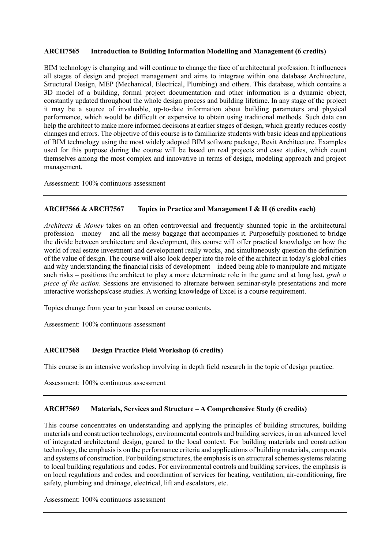### **ARCH7565 Introduction to Building Information Modelling and Management (6 credits)**

 BIM technology is changing and will continue to change the face of architectural profession. It influences all stages of design and project management and aims to integrate within one database Architecture, Structural Design, MEP (Mechanical, Electrical, Plumbing) and others. This database, which contains a 3D model of a building, formal project documentation and other information is a dynamic object, constantly updated throughout the whole design process and building lifetime. In any stage of the project it may be a source of invaluable, up-to-date information about building parameters and physical performance, which would be difficult or expensive to obtain using traditional methods. Such data can help the architect to make more informed decisions at earlier stages of design, which greatly reduces costly changes and errors. The objective of this course is to familiarize students with basic ideas and applications of BIM technology using the most widely adopted BIM software package, Revit Architecture. Examples used for this purpose during the course will be based on real projects and case studies, which count themselves among the most complex and innovative in terms of design, modeling approach and project management.

Assessment: 100% continuous assessment

#### **ARCH7566 & ARCH7567** Topics in Practice and Management I & II (6 credits each)

 *Architects & Money* takes on an often controversial and frequently shunned topic in the architectural profession – money – and all the messy baggage that accompanies it. Purposefully positioned to bridge the divide between architecture and development, this course will offer practical knowledge on how the of the value of design. The course will also look deeper into the role of the architect in today's global cities and why understanding the financial risks of development – indeed being able to manipulate and mitigate such risks – positions the architect to play a more determinate role in the game and at long last, *grab a piece of the action*. Sessions are envisioned to alternate between seminar-style presentations and more world of real estate investment and development really works, and simultaneously question the definition interactive workshops/case studies. A working knowledge of Excel is a course requirement.

Topics change from year to year based on course contents.

Assessment: 100% continuous assessment

#### **Design Practice Field Workshop (6 credits)**

This course is an intensive workshop involving in depth field research in the topic of design practice.

Assessment: 100% continuous assessment

# **ARCH7569 Materials, Services and Structure – A Comprehensive Study (6 credits)**

 This course concentrates on understanding and applying the principles of building structures, building materials and construction technology, environmental controls and building services, in an advanced level of integrated architectural design, geared to the local context. For building materials and construction technology, the emphasis is on the performance criteria and applications of building materials, components and systems of construction. For building structures, the emphasis is on structural schemes systems relating to local building regulations and codes. For environmental controls and building services, the emphasis is on local regulations and codes, and coordination of services for heating, ventilation, air-conditioning, fire safety, plumbing and drainage, electrical, lift and escalators, etc.